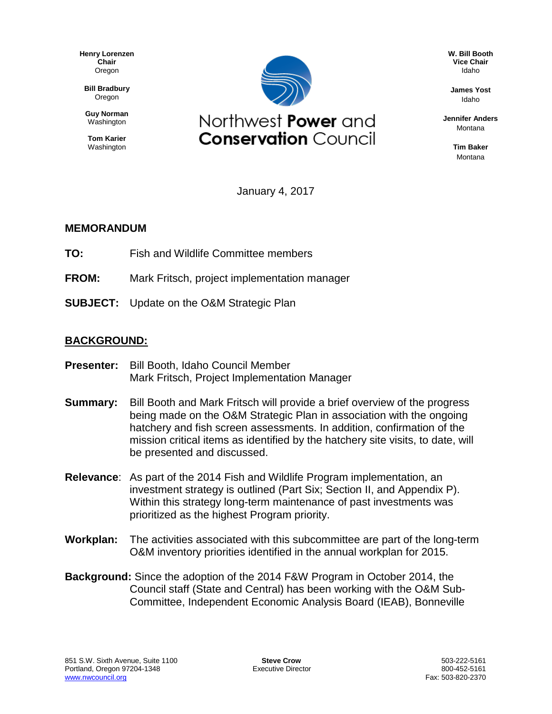**Henry Lorenzen Chair** Oregon

**Bill Bradbury** Oregon

**Guy Norman** Washington

**Tom Karier** Washington



**W. Bill Booth Vice Chair** Idaho

**James Yost** Idaho

**Jennifer Anders** Montana

> **Tim Baker** Montana

January 4, 2017

## **MEMORANDUM**

- **TO:** Fish and Wildlife Committee members
- **FROM:** Mark Fritsch, project implementation manager
- **SUBJECT:** Update on the O&M Strategic Plan

## **BACKGROUND:**

- **Presenter:** Bill Booth, Idaho Council Member Mark Fritsch, Project Implementation Manager
- **Summary:** Bill Booth and Mark Fritsch will provide a brief overview of the progress being made on the O&M Strategic Plan in association with the ongoing hatchery and fish screen assessments. In addition, confirmation of the mission critical items as identified by the hatchery site visits, to date, will be presented and discussed.
- **Relevance**: As part of the 2014 Fish and Wildlife Program implementation, an investment strategy is outlined (Part Six; Section II, and Appendix P). Within this strategy long-term maintenance of past investments was prioritized as the highest Program priority.
- **Workplan:** The activities associated with this subcommittee are part of the long-term O&M inventory priorities identified in the annual workplan for 2015.
- **Background:** Since the adoption of the 2014 F&W Program in October 2014, the Council staff (State and Central) has been working with the O&M Sub-Committee, Independent Economic Analysis Board (IEAB), Bonneville